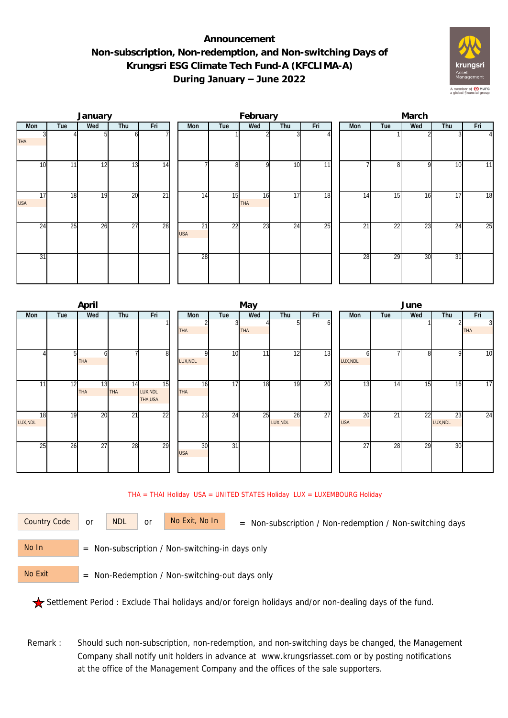## **Announcement Non-subscription, Non-redemption, and Non-switching Days of Krungsri ESG Climate Tech Fund-A (KFCLIMA-A) During January – June 2022**



|                  |     | January |                 |                 | February         |     |                  |     |     |  | March |     |                 |     |     |  |  |
|------------------|-----|---------|-----------------|-----------------|------------------|-----|------------------|-----|-----|--|-------|-----|-----------------|-----|-----|--|--|
| Mon              | Tue | Wed     | Thu             | Fri             | Mon              | Tue | Wed              | Thu | Fri |  | Mon   | Tue | Wed             | Thu | Fri |  |  |
| <b>THA</b>       |     |         | b               |                 |                  |     |                  |     |     |  |       |     |                 |     | 41  |  |  |
| 10               | 11  | 12      | 13              | 14              |                  | 8   | $\Omega$         | 10  | 11  |  |       | 8   | $\Omega$        | 10  | 11  |  |  |
| 17<br><b>USA</b> | 18  | 19      | 20              | $\overline{21}$ | 14               | 15  | 16<br><b>THA</b> | 17  | 18  |  | 14    | 15  | 16              | 17  | 18  |  |  |
| 24               | 25  | 26      | $\overline{27}$ | 28              | 21<br><b>USA</b> | 22  | 23               | 24  | 25  |  | 21    | 22  | $\overline{23}$ | 24  | 25  |  |  |
| 31               |     |         |                 |                 | 28               |     |                  |     |     |  | 28    | 29  | $\overline{30}$ | 31  |     |  |  |

|                |     | April            |           |                           |                  |                 | May        |                |     | June             |     |     |                |                 |  |  |
|----------------|-----|------------------|-----------|---------------------------|------------------|-----------------|------------|----------------|-----|------------------|-----|-----|----------------|-----------------|--|--|
| Mon            | Tue | Wed              | Thu       | Fri                       | Mon              | Tue             | Wed        | Thu            | Fri | Mon              | Tue | Wed | Thu            | Fri             |  |  |
|                |     |                  |           |                           | THA              |                 | <b>THA</b> | 51             | οı  |                  |     |     |                | 3<br><b>THA</b> |  |  |
|                | 51  | h<br>THA         |           | 8                         | LUX, NDL         | 10              | 11         | 12             | 13  | h<br>LUX, NDL    |     | 8   | 9              | $\overline{10}$ |  |  |
| 11             | 12  | 13<br><b>THA</b> | 14<br>THA | 15<br>LUX, NDL<br>THA,USA | 16<br>THA        | $\overline{17}$ | 18         | 19             | 20  | 13               | 14  | 15  | 16             | $\overline{17}$ |  |  |
| 18<br>LUX, NDL | 19  | 20               | 21        | 22                        | 23               | 24              | 25         | 26<br>LUX, NDL | 27  | 20<br><b>USA</b> | 21  | 22  | 23<br>LUX, NDL | 24              |  |  |
| 25             | 26  | 27               | 28        | 29                        | 30<br><b>USA</b> | $\overline{31}$ |            |                |     | 27               | 28  | 29  | 30             |                 |  |  |

## THA = THAI Holiday USA = UNITED STATES Holiday LUX = LUXEMBOURG Holiday

or NDL or

Country Code or NDL or No Exit, No In = Non-subscription / Non-redemption / Non-switching days

 = Non-subscription / Non-switching-in days only No In

 = Non-Redemption / Non-switching-out days only No Exit

Settlement Period : Exclude Thai holidays and/or foreign holidays and/or non-dealing days of the fund.

Remark : Should such non-subscription, non-redemption, and non-switching days be changed, the Management Company shall notify unit holders in advance at www.krungsriasset.com or by posting notifications at the office of the Management Company and the offices of the sale supporters.